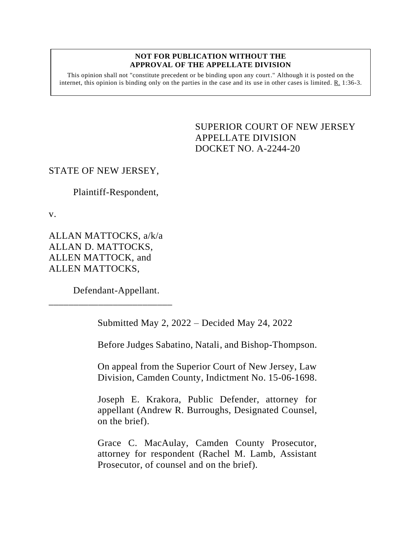#### **NOT FOR PUBLICATION WITHOUT THE APPROVAL OF THE APPELLATE DIVISION**

This opinion shall not "constitute precedent or be binding upon any court." Although it is posted on the internet, this opinion is binding only on the parties in the case and its use in other cases is limited.  $R_1$  1:36-3.

> <span id="page-0-0"></span>SUPERIOR COURT OF NEW JERSEY APPELLATE DIVISION DOCKET NO. A-2244-20

### STATE OF NEW JERSEY,

Plaintiff-Respondent,

v.

ALLAN MATTOCKS, a/k/a ALLAN D. MATTOCKS, ALLEN MATTOCK, and ALLEN MATTOCKS,

Defendant-Appellant.

\_\_\_\_\_\_\_\_\_\_\_\_\_\_\_\_\_\_\_\_\_\_\_\_\_

Submitted May 2, 2022 – Decided May 24, 2022

Before Judges Sabatino, Natali, and Bishop-Thompson.

On appeal from the Superior Court of New Jersey, Law Division, Camden County, Indictment No. 15-06-1698.

Joseph E. Krakora, Public Defender, attorney for appellant (Andrew R. Burroughs, Designated Counsel, on the brief).

Grace C. MacAulay, Camden County Prosecutor, attorney for respondent (Rachel M. Lamb, Assistant Prosecutor, of counsel and on the brief).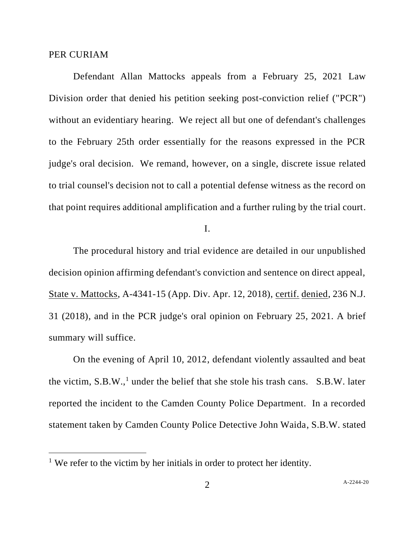#### PER CURIAM

Defendant Allan Mattocks appeals from a February 25, 2021 Law Division order that denied his petition seeking post-conviction relief ("PCR") without an evidentiary hearing. We reject all but one of defendant's challenges to the February 25th order essentially for the reasons expressed in the PCR judge's oral decision. We remand, however, on a single, discrete issue related to trial counsel's decision not to call a potential defense witness as the record on that point requires additional amplification and a further ruling by the trial court.

I.

The procedural history and trial evidence are detailed in our unpublished decision opinion affirming defendant's conviction and sentence on direct appeal, State v. Mattocks, A-4341-15 (App. Div. Apr. 12, 2018), certif. denied, 236 N.J. 31 (2018), and in the PCR judge's oral opinion on February 25, 2021. A brief summary will suffice.

On the evening of April 10, 2012, defendant violently assaulted and beat the victim,  $S.B.W.,<sup>1</sup>$  under the belief that she stole his trash cans.  $S.B.W.$  later reported the incident to the Camden County Police Department. In a recorded statement taken by Camden County Police Detective John Waida, S.B.W. stated

<sup>&</sup>lt;sup>1</sup> We refer to the victim by her initials in order to protect her identity.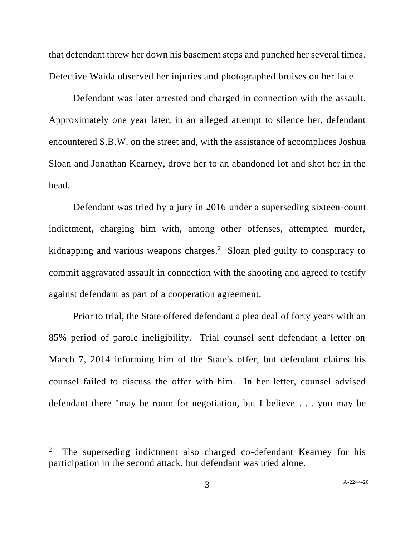that defendant threw her down his basement steps and punched her several times. Detective Waida observed her injuries and photographed bruises on her face.

Defendant was later arrested and charged in connection with the assault. Approximately one year later, in an alleged attempt to silence her, defendant encountered S.B.W. on the street and, with the assistance of accomplices Joshua Sloan and Jonathan Kearney, drove her to an abandoned lot and shot her in the head.

Defendant was tried by a jury in 2016 under a superseding sixteen-count indictment, charging him with, among other offenses, attempted murder, kidnapping and various weapons charges.<sup>2</sup> Sloan pled guilty to conspiracy to commit aggravated assault in connection with the shooting and agreed to testify against defendant as part of a cooperation agreement.

Prior to trial, the State offered defendant a plea deal of forty years with an 85% period of parole ineligibility. Trial counsel sent defendant a letter on March 7, 2014 informing him of the State's offer, but defendant claims his counsel failed to discuss the offer with him. In her letter, counsel advised defendant there "may be room for negotiation, but I believe . . . you may be

<sup>2</sup> The superseding indictment also charged co-defendant Kearney for his participation in the second attack, but defendant was tried alone.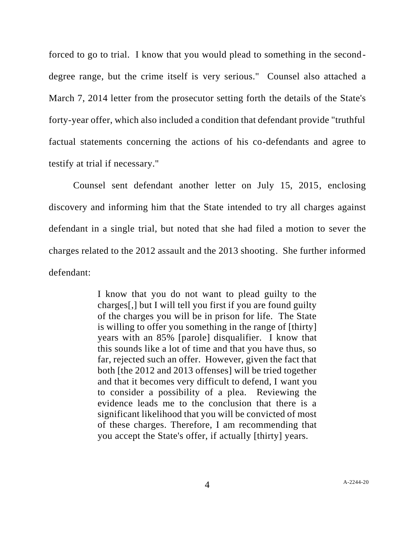forced to go to trial. I know that you would plead to something in the seconddegree range, but the crime itself is very serious." Counsel also attached a March 7, 2014 letter from the prosecutor setting forth the details of the State's forty-year offer, which also included a condition that defendant provide "truthful factual statements concerning the actions of his co-defendants and agree to testify at trial if necessary."

Counsel sent defendant another letter on July 15, 2015, enclosing discovery and informing him that the State intended to try all charges against defendant in a single trial, but noted that she had filed a motion to sever the charges related to the 2012 assault and the 2013 shooting. She further informed defendant:

> I know that you do not want to plead guilty to the charges[,] but I will tell you first if you are found guilty of the charges you will be in prison for life. The State is willing to offer you something in the range of [thirty] years with an 85% [parole] disqualifier. I know that this sounds like a lot of time and that you have thus, so far, rejected such an offer. However, given the fact that both [the 2012 and 2013 offenses] will be tried together and that it becomes very difficult to defend, I want you to consider a possibility of a plea. Reviewing the evidence leads me to the conclusion that there is a significant likelihood that you will be convicted of most of these charges. Therefore, I am recommending that you accept the State's offer, if actually [thirty] years.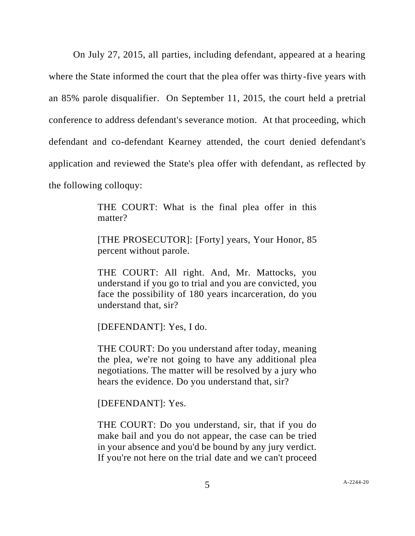On July 27, 2015, all parties, including defendant, appeared at a hearing where the State informed the court that the plea offer was thirty-five years with an 85% parole disqualifier. On September 11, 2015, the court held a pretrial conference to address defendant's severance motion. At that proceeding, which defendant and co-defendant Kearney attended, the court denied defendant's application and reviewed the State's plea offer with defendant, as reflected by the following colloquy:

> THE COURT: What is the final plea offer in this matter?

> [THE PROSECUTOR]: [Forty] years, Your Honor, 85 percent without parole.

> THE COURT: All right. And, Mr. Mattocks, you understand if you go to trial and you are convicted, you face the possibility of 180 years incarceration, do you understand that, sir?

[DEFENDANT]: Yes, I do.

THE COURT: Do you understand after today, meaning the plea, we're not going to have any additional plea negotiations. The matter will be resolved by a jury who hears the evidence. Do you understand that, sir?

[DEFENDANT]: Yes.

THE COURT: Do you understand, sir, that if you do make bail and you do not appear, the case can be tried in your absence and you'd be bound by any jury verdict. If you're not here on the trial date and we can't proceed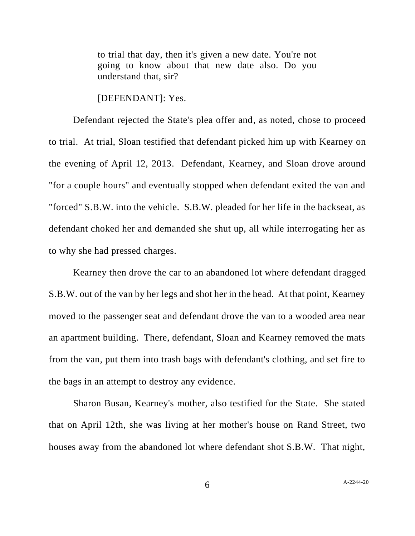to trial that day, then it's given a new date. You're not going to know about that new date also. Do you understand that, sir?

[DEFENDANT]: Yes.

Defendant rejected the State's plea offer and, as noted, chose to proceed to trial. At trial, Sloan testified that defendant picked him up with Kearney on the evening of April 12, 2013. Defendant, Kearney, and Sloan drove around "for a couple hours" and eventually stopped when defendant exited the van and "forced" S.B.W. into the vehicle. S.B.W. pleaded for her life in the backseat, as defendant choked her and demanded she shut up, all while interrogating her as to why she had pressed charges.

Kearney then drove the car to an abandoned lot where defendant dragged S.B.W. out of the van by her legs and shot her in the head. At that point, Kearney moved to the passenger seat and defendant drove the van to a wooded area near an apartment building. There, defendant, Sloan and Kearney removed the mats from the van, put them into trash bags with defendant's clothing, and set fire to the bags in an attempt to destroy any evidence.

Sharon Busan, Kearney's mother, also testified for the State. She stated that on April 12th, she was living at her mother's house on Rand Street, two houses away from the abandoned lot where defendant shot S.B.W. That night,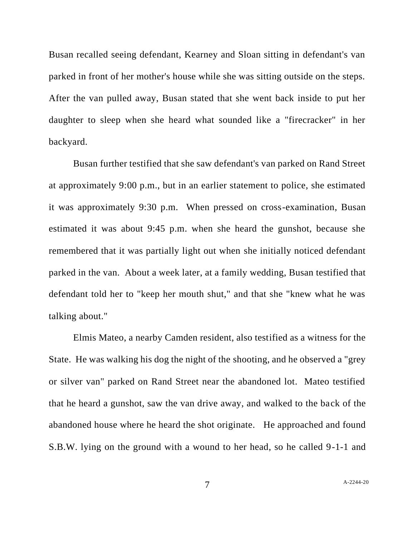Busan recalled seeing defendant, Kearney and Sloan sitting in defendant's van parked in front of her mother's house while she was sitting outside on the steps. After the van pulled away, Busan stated that she went back inside to put her daughter to sleep when she heard what sounded like a "firecracker" in her backyard.

Busan further testified that she saw defendant's van parked on Rand Street at approximately 9:00 p.m., but in an earlier statement to police, she estimated it was approximately 9:30 p.m. When pressed on cross-examination, Busan estimated it was about 9:45 p.m. when she heard the gunshot, because she remembered that it was partially light out when she initially noticed defendant parked in the van. About a week later, at a family wedding, Busan testified that defendant told her to "keep her mouth shut," and that she "knew what he was talking about."

Elmis Mateo, a nearby Camden resident, also testified as a witness for the State. He was walking his dog the night of the shooting, and he observed a "grey or silver van" parked on Rand Street near the abandoned lot. Mateo testified that he heard a gunshot, saw the van drive away, and walked to the back of the abandoned house where he heard the shot originate. He approached and found S.B.W. lying on the ground with a wound to her head, so he called 9-1-1 and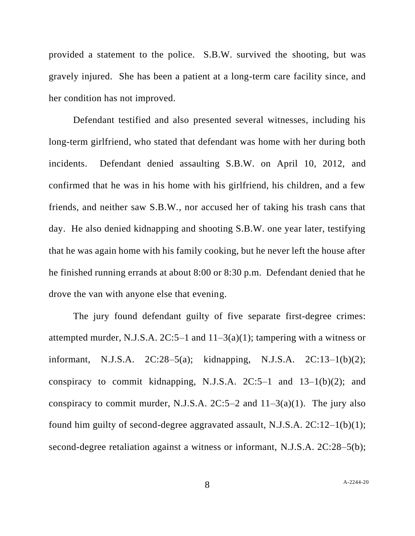provided a statement to the police. S.B.W. survived the shooting, but was gravely injured. She has been a patient at a long-term care facility since, and her condition has not improved.

Defendant testified and also presented several witnesses, including his long-term girlfriend, who stated that defendant was home with her during both incidents. Defendant denied assaulting S.B.W. on April 10, 2012, and confirmed that he was in his home with his girlfriend, his children, and a few friends, and neither saw S.B.W., nor accused her of taking his trash cans that day. He also denied kidnapping and shooting S.B.W. one year later, testifying that he was again home with his family cooking, but he never left the house after he finished running errands at about 8:00 or 8:30 p.m. Defendant denied that he drove the van with anyone else that evening.

The jury found defendant guilty of five separate first-degree crimes: attempted murder, N.J.S.A.  $2C:5-1$  and  $11-3(a)(1)$ ; tampering with a witness or informant, N.J.S.A. 2C:28–5(a); kidnapping, N.J.S.A. 2C:13–1(b)(2); conspiracy to commit kidnapping, N.J.S.A.  $2C:5-1$  and  $13-1(b)(2)$ ; and conspiracy to commit murder, N.J.S.A.  $2C:5-2$  and  $11-3(a)(1)$ . The jury also found him guilty of second-degree aggravated assault, N.J.S.A. 2C:12–1(b)(1); second-degree retaliation against a witness or informant, N.J.S.A. 2C:28–5(b);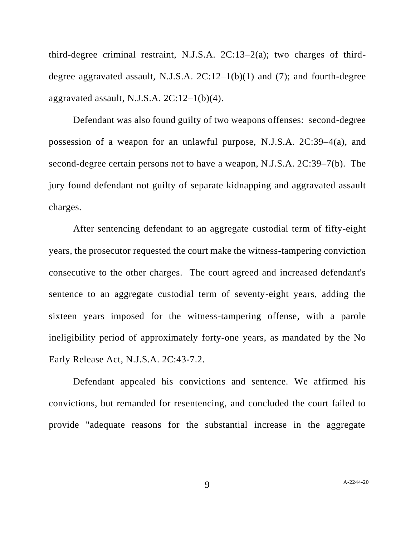third-degree criminal restraint, N.J.S.A. 2C:13–2(a); two charges of thirddegree aggravated assault, N.J.S.A.  $2C:12-1(b)(1)$  and  $(7)$ ; and fourth-degree aggravated assault, N.J.S.A.  $2C:12-1(b)(4)$ .

Defendant was also found guilty of two weapons offenses: second-degree possession of a weapon for an unlawful purpose, N.J.S.A. 2C:39–4(a), and second-degree certain persons not to have a weapon, N.J.S.A. 2C:39–7(b). The jury found defendant not guilty of separate kidnapping and aggravated assault charges.

After sentencing defendant to an aggregate custodial term of fifty-eight years, the prosecutor requested the court make the witness-tampering conviction consecutive to the other charges. The court agreed and increased defendant's sentence to an aggregate custodial term of seventy-eight years, adding the sixteen years imposed for the witness-tampering offense, with a parole ineligibility period of approximately forty-one years, as mandated by the No Early Release Act, N.J.S.A. 2C:43-7.2.

Defendant appealed his convictions and sentence. We affirmed his convictions, but remanded for resentencing, and concluded the court failed to provide "adequate reasons for the substantial increase in the aggregate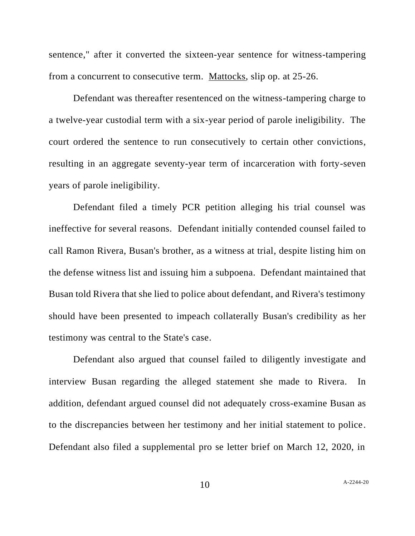sentence," after it converted the sixteen-year sentence for witness-tampering from a concurrent to consecutive term. Mattocks, slip op. at 25-26.

Defendant was thereafter resentenced on the witness-tampering charge to a twelve-year custodial term with a six-year period of parole ineligibility. The court ordered the sentence to run consecutively to certain other convictions, resulting in an aggregate seventy-year term of incarceration with forty-seven years of parole ineligibility.

Defendant filed a timely PCR petition alleging his trial counsel was ineffective for several reasons. Defendant initially contended counsel failed to call Ramon Rivera, Busan's brother, as a witness at trial, despite listing him on the defense witness list and issuing him a subpoena. Defendant maintained that Busan told Rivera that she lied to police about defendant, and Rivera's testimony should have been presented to impeach collaterally Busan's credibility as her testimony was central to the State's case.

Defendant also argued that counsel failed to diligently investigate and interview Busan regarding the alleged statement she made to Rivera. In addition, defendant argued counsel did not adequately cross-examine Busan as to the discrepancies between her testimony and her initial statement to police. Defendant also filed a supplemental pro se letter brief on March 12, 2020, in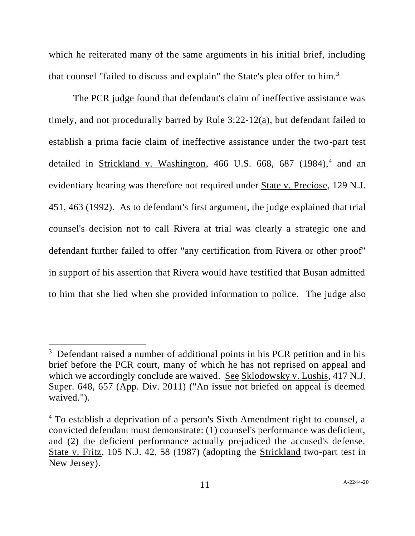which he reiterated many of the same arguments in his initial brief, including that counsel "failed to discuss and explain" the State's plea offer to him.<sup>3</sup>

The PCR judge found that defendant's claim of ineffective assistance was timely, and not procedurally barred by Rule 3:22-12(a), but defendant failed to establish a prima facie claim of ineffective assistance under the two-part test detailed in Strickland v. Washington, 466 U.S. 668, 687 (1984),<sup>4</sup> and an evidentiary hearing was therefore not required under State v. Preciose, 129 N.J. 451, 463 (1992). As to defendant's first argument, the judge explained that trial counsel's decision not to call Rivera at trial was clearly a strategic one and defendant further failed to offer "any certification from Rivera or other proof" in support of his assertion that Rivera would have testified that Busan admitted to him that she lied when she provided information to police. The judge also

<sup>&</sup>lt;sup>3</sup> Defendant raised a number of additional points in his PCR petition and in his brief before the PCR court, many of which he has not reprised on appeal and which we accordingly conclude are waived. See Sklodowsky v. Lushis, 417 N.J. Super. 648, 657 (App. Div. 2011) ("An issue not briefed on appeal is deemed waived.").

<sup>4</sup> To establish a deprivation of a person's Sixth Amendment right to counsel, a convicted defendant must demonstrate: (1) counsel's performance was deficient, and (2) the deficient performance actually prejudiced the accused's defense. State v. Fritz, 105 N.J. 42, 58 (1987) (adopting the Strickland two-part test in New Jersey).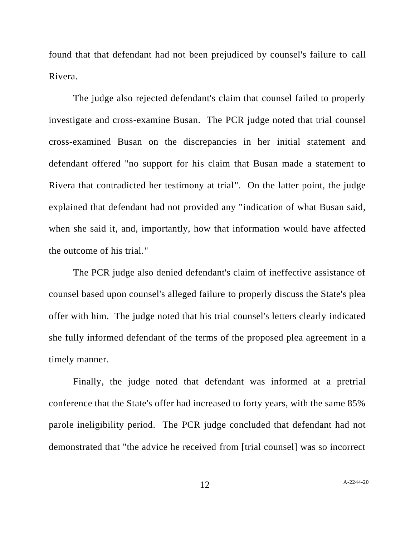found that that defendant had not been prejudiced by counsel's failure to call Rivera.

The judge also rejected defendant's claim that counsel failed to properly investigate and cross-examine Busan. The PCR judge noted that trial counsel cross-examined Busan on the discrepancies in her initial statement and defendant offered "no support for his claim that Busan made a statement to Rivera that contradicted her testimony at trial". On the latter point, the judge explained that defendant had not provided any "indication of what Busan said, when she said it, and, importantly, how that information would have affected the outcome of his trial."

The PCR judge also denied defendant's claim of ineffective assistance of counsel based upon counsel's alleged failure to properly discuss the State's plea offer with him. The judge noted that his trial counsel's letters clearly indicated she fully informed defendant of the terms of the proposed plea agreement in a timely manner.

Finally, the judge noted that defendant was informed at a pretrial conference that the State's offer had increased to forty years, with the same 85% parole ineligibility period. The PCR judge concluded that defendant had not demonstrated that "the advice he received from [trial counsel] was so incorrect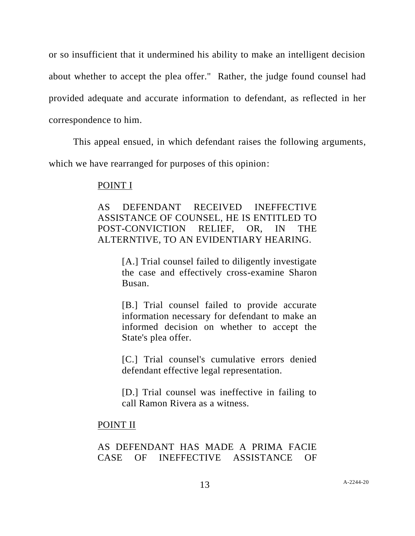or so insufficient that it undermined his ability to make an intelligent decision about whether to accept the plea offer." Rather, the judge found counsel had provided adequate and accurate information to defendant, as reflected in her correspondence to him.

This appeal ensued, in which defendant raises the following arguments, which we have rearranged for purposes of this opinion:

#### POINT I

AS DEFENDANT RECEIVED INEFFECTIVE ASSISTANCE OF COUNSEL, HE IS ENTITLED TO POST-CONVICTION RELIEF, OR, IN THE ALTERNTIVE, TO AN EVIDENTIARY HEARING.

> [A.] Trial counsel failed to diligently investigate the case and effectively cross-examine Sharon Busan.

> [B.] Trial counsel failed to provide accurate information necessary for defendant to make an informed decision on whether to accept the State's plea offer.

> [C.] Trial counsel's cumulative errors denied defendant effective legal representation.

> [D.] Trial counsel was ineffective in failing to call Ramon Rivera as a witness.

#### POINT II

## AS DEFENDANT HAS MADE A PRIMA FACIE CASE OF INEFFECTIVE ASSISTANCE OF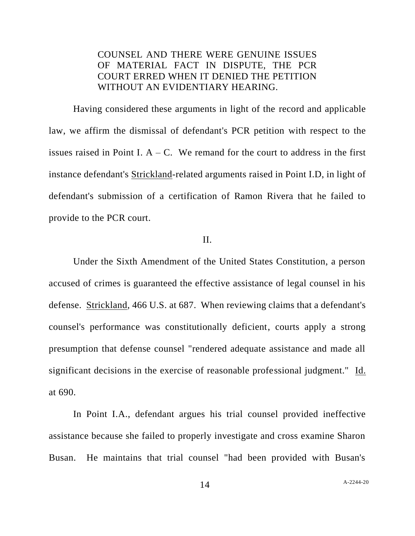# COUNSEL AND THERE WERE GENUINE ISSUES OF MATERIAL FACT IN DISPUTE, THE PCR COURT ERRED WHEN IT DENIED THE PETITION WITHOUT AN EVIDENTIARY HEARING.

Having considered these arguments in light of the record and applicable law, we affirm the dismissal of defendant's PCR petition with respect to the issues raised in Point I.  $A - C$ . We remand for the court to address in the first instance defendant's Strickland-related arguments raised in Point I.D, in light of defendant's submission of a certification of Ramon Rivera that he failed to provide to the PCR court.

### II.

Under the Sixth Amendment of the United States Constitution, a person accused of crimes is guaranteed the effective assistance of legal counsel in his defense. Strickland, 466 U.S. at 687. When reviewing claims that a defendant's counsel's performance was constitutionally deficient, courts apply a strong presumption that defense counsel "rendered adequate assistance and made all significant decisions in the exercise of reasonable professional judgment." Id. at 690.

In Point I.A., defendant argues his trial counsel provided ineffective assistance because she failed to properly investigate and cross examine Sharon Busan. He maintains that trial counsel "had been provided with Busan's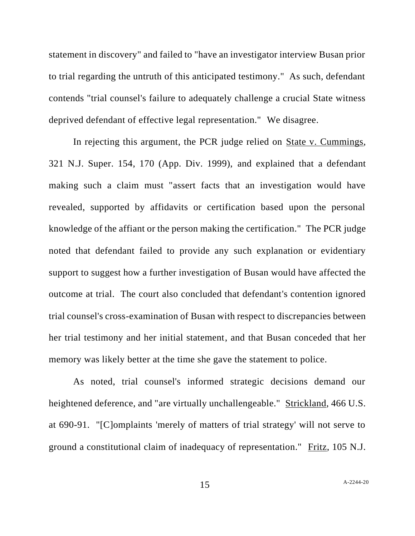statement in discovery" and failed to "have an investigator interview Busan prior to trial regarding the untruth of this anticipated testimony." As such, defendant contends "trial counsel's failure to adequately challenge a crucial State witness deprived defendant of effective legal representation." We disagree.

In rejecting this argument, the PCR judge relied on State v. Cummings, 321 N.J. Super. 154, 170 (App. Div. 1999), and explained that a defendant making such a claim must "assert facts that an investigation would have revealed, supported by affidavits or certification based upon the personal knowledge of the affiant or the person making the certification." The PCR judge noted that defendant failed to provide any such explanation or evidentiary support to suggest how a further investigation of Busan would have affected the outcome at trial. The court also concluded that defendant's contention ignored trial counsel's cross-examination of Busan with respect to discrepancies between her trial testimony and her initial statement, and that Busan conceded that her memory was likely better at the time she gave the statement to police.

As noted, trial counsel's informed strategic decisions demand our heightened deference, and "are virtually unchallengeable." Strickland, 466 U.S. at 690-91. "[C]omplaints 'merely of matters of trial strategy' will not serve to ground a constitutional claim of inadequacy of representation." Fritz, 105 N.J.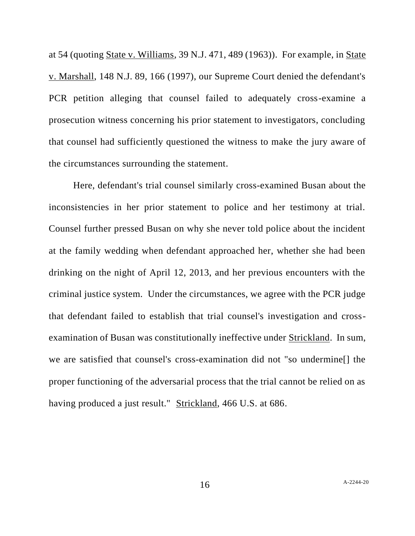at 54 (quoting State v. Williams, 39 N.J. 471, 489 (1963)). For example, in State v. Marshall, 148 N.J. 89, 166 (1997), our Supreme Court denied the defendant's PCR petition alleging that counsel failed to adequately cross-examine a prosecution witness concerning his prior statement to investigators, concluding that counsel had sufficiently questioned the witness to make the jury aware of the circumstances surrounding the statement.

Here, defendant's trial counsel similarly cross-examined Busan about the inconsistencies in her prior statement to police and her testimony at trial. Counsel further pressed Busan on why she never told police about the incident at the family wedding when defendant approached her, whether she had been drinking on the night of April 12, 2013, and her previous encounters with the criminal justice system. Under the circumstances, we agree with the PCR judge that defendant failed to establish that trial counsel's investigation and crossexamination of Busan was constitutionally ineffective under Strickland. In sum, we are satisfied that counsel's cross-examination did not "so undermine[] the proper functioning of the adversarial process that the trial cannot be relied on as having produced a just result." Strickland, 466 U.S. at 686.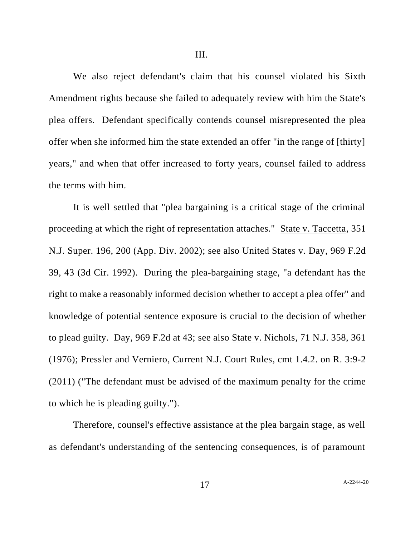We also reject defendant's claim that his counsel violated his Sixth Amendment rights because she failed to adequately review with him the State's plea offers. Defendant specifically contends counsel misrepresented the plea offer when she informed him the state extended an offer "in the range of [thirty] years," and when that offer increased to forty years, counsel failed to address the terms with him.

It is well settled that "plea bargaining is a critical stage of the criminal proceeding at which the right of representation attaches." State v. Taccetta, 351 N.J. Super. 196, 200 (App. Div. 2002); see also United States v. Day, 969 F.2d 39, 43 (3d Cir. 1992). During the plea-bargaining stage, "a defendant has the right to make a reasonably informed decision whether to accept a plea offer" and knowledge of potential sentence exposure is crucial to the decision of whether to plead guilty. Day, 969 F.2d at 43; see also State v. Nichols, 71 N.J. 358, 361 (1976); Pressler and Verniero, Current N.J. Court Rules, cmt 1.4.2. on R. 3:9-2 (2011) ("The defendant must be advised of the maximum penalty for the crime to which he is pleading guilty.").

Therefore, counsel's effective assistance at the plea bargain stage, as well as defendant's understanding of the sentencing consequences, is of paramount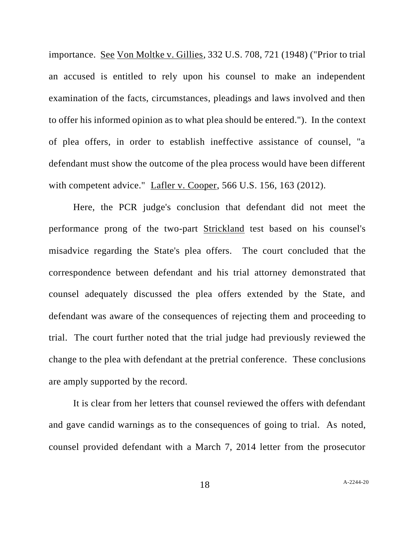importance. See Von Moltke v. Gillies, 332 U.S. 708, 721 (1948) ("Prior to trial an accused is entitled to rely upon his counsel to make an independent examination of the facts, circumstances, pleadings and laws involved and then to offer his informed opinion as to what plea should be entered."). In the context of plea offers, in order to establish ineffective assistance of counsel, "a defendant must show the outcome of the plea process would have been different with competent advice." Lafler v. Cooper, 566 U.S. 156, 163 (2012).

Here, the PCR judge's conclusion that defendant did not meet the performance prong of the two-part Strickland test based on his counsel's misadvice regarding the State's plea offers. The court concluded that the correspondence between defendant and his trial attorney demonstrated that counsel adequately discussed the plea offers extended by the State, and defendant was aware of the consequences of rejecting them and proceeding to trial. The court further noted that the trial judge had previously reviewed the change to the plea with defendant at the pretrial conference. These conclusions are amply supported by the record.

It is clear from her letters that counsel reviewed the offers with defendant and gave candid warnings as to the consequences of going to trial. As noted, counsel provided defendant with a March 7, 2014 letter from the prosecutor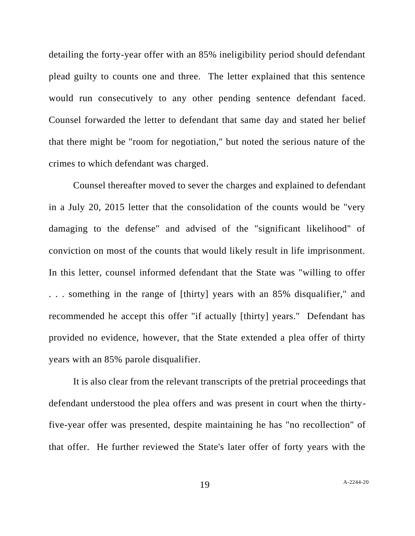detailing the forty-year offer with an 85% ineligibility period should defendant plead guilty to counts one and three. The letter explained that this sentence would run consecutively to any other pending sentence defendant faced. Counsel forwarded the letter to defendant that same day and stated her belief that there might be "room for negotiation," but noted the serious nature of the crimes to which defendant was charged.

Counsel thereafter moved to sever the charges and explained to defendant in a July 20, 2015 letter that the consolidation of the counts would be "very damaging to the defense" and advised of the "significant likelihood" of conviction on most of the counts that would likely result in life imprisonment. In this letter, counsel informed defendant that the State was "willing to offer . . . something in the range of [thirty] years with an 85% disqualifier," and recommended he accept this offer "if actually [thirty] years." Defendant has provided no evidence, however, that the State extended a plea offer of thirty years with an 85% parole disqualifier.

It is also clear from the relevant transcripts of the pretrial proceedings that defendant understood the plea offers and was present in court when the thirtyfive-year offer was presented, despite maintaining he has "no recollection" of that offer. He further reviewed the State's later offer of forty years with the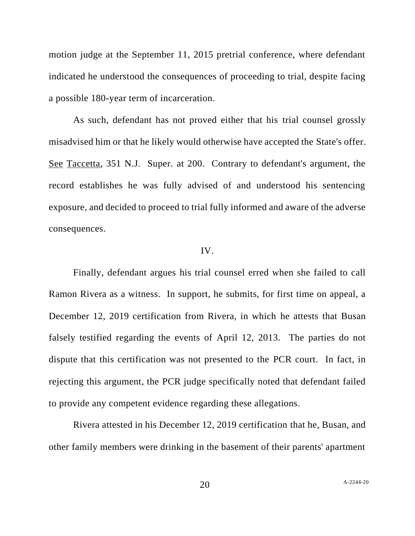motion judge at the September 11, 2015 pretrial conference, where defendant indicated he understood the consequences of proceeding to trial, despite facing a possible 180-year term of incarceration.

As such, defendant has not proved either that his trial counsel grossly misadvised him or that he likely would otherwise have accepted the State's offer. See Taccetta, 351 N.J. Super. at 200. Contrary to defendant's argument, the record establishes he was fully advised of and understood his sentencing exposure, and decided to proceed to trial fully informed and aware of the adverse consequences.

#### IV.

Finally, defendant argues his trial counsel erred when she failed to call Ramon Rivera as a witness. In support, he submits, for first time on appeal, a December 12, 2019 certification from Rivera, in which he attests that Busan falsely testified regarding the events of April 12, 2013. The parties do not dispute that this certification was not presented to the PCR court. In fact, in rejecting this argument, the PCR judge specifically noted that defendant failed to provide any competent evidence regarding these allegations.

Rivera attested in his December 12, 2019 certification that he, Busan, and other family members were drinking in the basement of their parents' apartment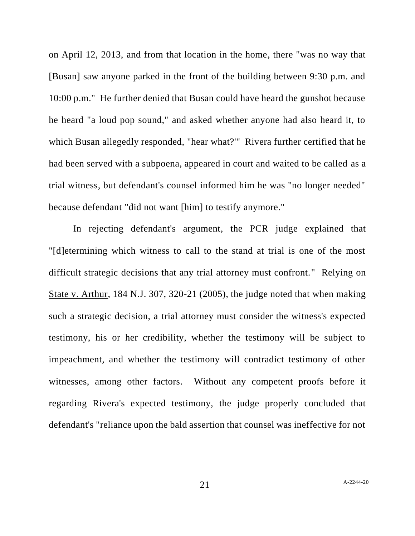on April 12, 2013, and from that location in the home, there "was no way that [Busan] saw anyone parked in the front of the building between 9:30 p.m. and 10:00 p.m." He further denied that Busan could have heard the gunshot because he heard "a loud pop sound," and asked whether anyone had also heard it, to which Busan allegedly responded, "hear what?'" Rivera further certified that he had been served with a subpoena, appeared in court and waited to be called as a trial witness, but defendant's counsel informed him he was "no longer needed" because defendant "did not want [him] to testify anymore."

In rejecting defendant's argument, the PCR judge explained that "[d]etermining which witness to call to the stand at trial is one of the most difficult strategic decisions that any trial attorney must confront." Relying on State v. Arthur, 184 N.J. 307, 320-21 (2005), the judge noted that when making such a strategic decision, a trial attorney must consider the witness's expected testimony, his or her credibility, whether the testimony will be subject to impeachment, and whether the testimony will contradict testimony of other witnesses, among other factors. Without any competent proofs before it regarding Rivera's expected testimony, the judge properly concluded that defendant's "reliance upon the bald assertion that counsel was ineffective for not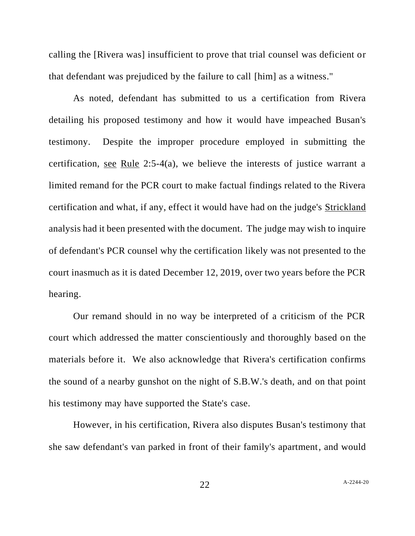calling the [Rivera was] insufficient to prove that trial counsel was deficient or that defendant was prejudiced by the failure to call [him] as a witness."

As noted, defendant has submitted to us a certification from Rivera detailing his proposed testimony and how it would have impeached Busan's testimony. Despite the improper procedure employed in submitting the certification, see Rule 2:5-4(a), we believe the interests of justice warrant a limited remand for the PCR court to make factual findings related to the Rivera certification and what, if any, effect it would have had on the judge's Strickland analysis had it been presented with the document. The judge may wish to inquire of defendant's PCR counsel why the certification likely was not presented to the court inasmuch as it is dated December 12, 2019, over two years before the PCR hearing.

Our remand should in no way be interpreted of a criticism of the PCR court which addressed the matter conscientiously and thoroughly based on the materials before it. We also acknowledge that Rivera's certification confirms the sound of a nearby gunshot on the night of S.B.W.'s death, and on that point his testimony may have supported the State's case.

However, in his certification, Rivera also disputes Busan's testimony that she saw defendant's van parked in front of their family's apartment, and would